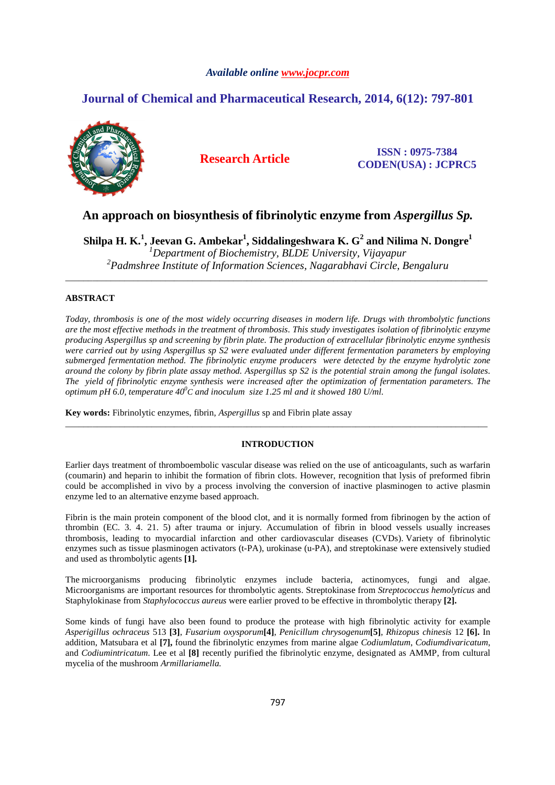## *Available online www.jocpr.com*

# **Journal of Chemical and Pharmaceutical Research, 2014, 6(12): 797-801**



## **Research Article ISSN : 0975-7384 CODEN(USA) : JCPRC5**

# **An approach on biosynthesis of fibrinolytic enzyme from** *Aspergillus Sp.*

**Shilpa H. K.<sup>1</sup> , Jeevan G. Ambekar<sup>1</sup> , Siddalingeshwara K. G<sup>2</sup> and Nilima N. Dongre<sup>1</sup>**  *<sup>1</sup>Department of Biochemistry, BLDE University, Vijayapur 2 Padmshree Institute of Information Sciences, Nagarabhavi Circle, Bengaluru* 

\_\_\_\_\_\_\_\_\_\_\_\_\_\_\_\_\_\_\_\_\_\_\_\_\_\_\_\_\_\_\_\_\_\_\_\_\_\_\_\_\_\_\_\_\_\_\_\_\_\_\_\_\_\_\_\_\_\_\_\_\_\_\_\_\_\_\_\_\_\_\_\_\_\_\_\_\_\_\_\_\_\_\_\_\_\_\_\_\_\_\_\_\_

## **ABSTRACT**

*Today, thrombosis is one of the most widely occurring diseases in modern life. Drugs with thrombolytic functions are the most effective methods in the treatment of thrombosis. This study investigates isolation of fibrinolytic enzyme producing Aspergillus sp and screening by fibrin plate. The production of extracellular fibrinolytic enzyme synthesis were carried out by using Aspergillus sp S2 were evaluated under different fermentation parameters by employing submerged fermentation method. The fibrinolytic enzyme producers were detected by the enzyme hydrolytic zone around the colony by fibrin plate assay method. Aspergillus sp S2 is the potential strain among the fungal isolates. The yield of fibrinolytic enzyme synthesis were increased after the optimization of fermentation parameters. The optimum pH 6.0, temperature 40<sup>0</sup> C and inoculum size 1.25 ml and it showed 180 U/ml.*

**Key words:** Fibrinolytic enzymes, fibrin, *Aspergillus* sp and Fibrin plate assay

## **INTRODUCTION**

\_\_\_\_\_\_\_\_\_\_\_\_\_\_\_\_\_\_\_\_\_\_\_\_\_\_\_\_\_\_\_\_\_\_\_\_\_\_\_\_\_\_\_\_\_\_\_\_\_\_\_\_\_\_\_\_\_\_\_\_\_\_\_\_\_\_\_\_\_\_\_\_\_\_\_\_\_\_\_\_\_\_\_\_\_\_\_\_\_\_\_\_\_

Earlier days treatment of thromboembolic vascular disease was relied on the use of anticoagulants, such as warfarin (coumarin) and heparin to inhibit the formation of fibrin clots. However, recognition that lysis of preformed fibrin could be accomplished in vivo by a process involving the conversion of inactive plasminogen to active plasmin enzyme led to an alternative enzyme based approach.

Fibrin is the main protein component of the blood clot, and it is normally formed from fibrinogen by the action of thrombin (EC. 3. 4. 21. 5) after trauma or injury. Accumulation of fibrin in blood vessels usually increases thrombosis, leading to myocardial infarction and other cardiovascular diseases (CVDs). Variety of fibrinolytic enzymes such as tissue plasminogen activators (t-PA), urokinase (u-PA), and streptokinase were extensively studied and used as thrombolytic agents **[1].** 

The microorganisms producing fibrinolytic enzymes include bacteria, actinomyces, fungi and algae. Microorganisms are important resources for thrombolytic agents. Streptokinase from *Streptococcus hemolyticus* and Staphylokinase from *Staphylococcus aureus* were earlier proved to be effective in thrombolytic therapy **[2].** 

Some kinds of fungi have also been found to produce the protease with high fibrinolytic activity for example *Asperigillus ochraceus* 513 **[3]**, *Fusarium oxysporum***[4]**, *Penicillum chrysogenum***[5]**, *Rhizopus chinesis* 12 **[6].** In addition, Matsubara et al **[7],** found the fibrinolytic enzymes from marine algae *Codiumlatum*, *Codiumdivaricatum*, and *Codiumintricatum.* Lee et al **[8]** recently purified the fibrinolytic enzyme, designated as AMMP, from cultural mycelia of the mushroom *Armillariamella.*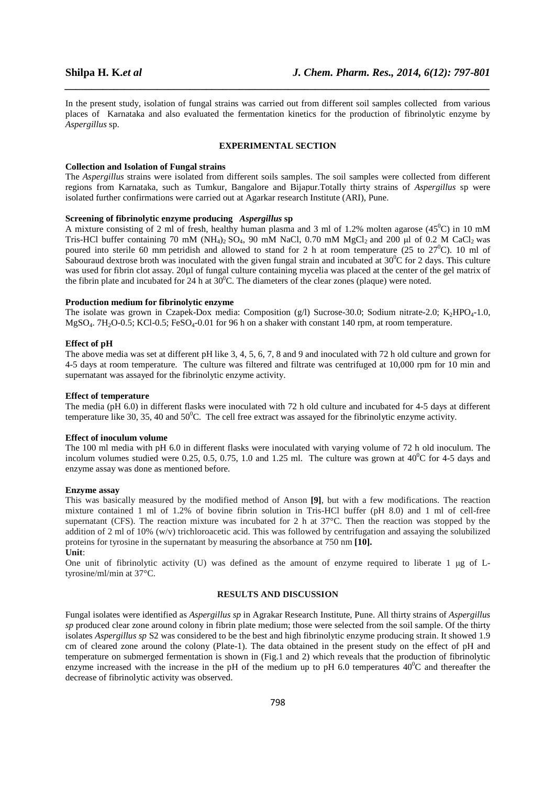In the present study, isolation of fungal strains was carried out from different soil samples collected from various places of Karnataka and also evaluated the fermentation kinetics for the production of fibrinolytic enzyme by *Aspergillus* sp.

*\_\_\_\_\_\_\_\_\_\_\_\_\_\_\_\_\_\_\_\_\_\_\_\_\_\_\_\_\_\_\_\_\_\_\_\_\_\_\_\_\_\_\_\_\_\_\_\_\_\_\_\_\_\_\_\_\_\_\_\_\_\_\_\_\_\_\_\_\_\_\_\_\_\_\_\_\_\_*

#### **EXPERIMENTAL SECTION**

#### **Collection and Isolation of Fungal strains**

The *Aspergillus* strains were isolated from different soils samples. The soil samples were collected from different regions from Karnataka, such as Tumkur, Bangalore and Bijapur.Totally thirty strains of *Aspergillus* sp were isolated further confirmations were carried out at Agarkar research Institute (ARI), Pune.

## **Screening of fibrinolytic enzyme producing** *Aspergillus* **sp**

A mixture consisting of 2 ml of fresh, healthy human plasma and 3 ml of 1.2% molten agarose (45<sup>0</sup>C) in 10 mM Tris-HCl buffer containing 70 mM (NH<sub>4</sub>)<sub>2</sub> SO<sub>4</sub>, 90 mM NaCl, 0.70 mM MgCl<sub>2</sub> and 200 µl of 0.2 M CaCl<sub>2</sub> was poured into sterile 60 mm petridish and allowed to stand for 2 h at room temperature (25 to  $27^{\circ}$ C). 10 ml of Sabouraud dextrose broth was inoculated with the given fungal strain and incubated at  $30^0C$  for 2 days. This culture was used for fibrin clot assay. 20µl of fungal culture containing mycelia was placed at the center of the gel matrix of the fibrin plate and incubated for 24 h at  $30^{\circ}$ C. The diameters of the clear zones (plaque) were noted.

## **Production medium for fibrinolytic enzyme**

The isolate was grown in Czapek-Dox media: Composition (g/l) Sucrose-30.0; Sodium nitrate-2.0; K<sub>2</sub>HPO<sub>4</sub>-1.0,  $MgSO<sub>4</sub>$ . 7H<sub>2</sub>O-0.5; KCl-0.5; FeSO<sub>4</sub>-0.01 for 96 h on a shaker with constant 140 rpm, at room temperature.

## **Effect of pH**

The above media was set at different pH like 3, 4, 5, 6, 7, 8 and 9 and inoculated with 72 h old culture and grown for 4-5 days at room temperature. The culture was filtered and filtrate was centrifuged at 10,000 rpm for 10 min and supernatant was assayed for the fibrinolytic enzyme activity.

#### **Effect of temperature**

The media (pH 6.0) in different flasks were inoculated with 72 h old culture and incubated for 4-5 days at different temperature like 30, 35, 40 and  $50^{\circ}$ C. The cell free extract was assayed for the fibrinolytic enzyme activity.

#### **Effect of inoculum volume**

The 100 ml media with pH 6.0 in different flasks were inoculated with varying volume of 72 h old inoculum. The incolum volumes studied were 0.25, 0.5, 0.75, 1.0 and 1.25 ml. The culture was grown at  $40^{\circ}$ C for 4-5 days and enzyme assay was done as mentioned before.

#### **Enzyme assay**

This was basically measured by the modified method of Anson **[9]**, but with a few modifications. The reaction mixture contained 1 ml of 1.2% of bovine fibrin solution in Tris-HCl buffer (pH 8.0) and 1 ml of cell-free supernatant (CFS). The reaction mixture was incubated for 2 h at 37°C. Then the reaction was stopped by the addition of 2 ml of 10% (w/v) trichloroacetic acid. This was followed by centrifugation and assaying the solubilized proteins for tyrosine in the supernatant by measuring the absorbance at 750 nm **[10].** 

#### **Unit**:

One unit of fibrinolytic activity (U) was defined as the amount of enzyme required to liberate 1 µg of Ltyrosine/ml/min at 37°C.

#### **RESULTS AND DISCUSSION**

Fungal isolates were identified as *Aspergillus sp* in Agrakar Research Institute, Pune. All thirty strains of *Aspergillus sp* produced clear zone around colony in fibrin plate medium; those were selected from the soil sample. Of the thirty isolates *Aspergillus sp* S2 was considered to be the best and high fibrinolytic enzyme producing strain. It showed 1.9 cm of cleared zone around the colony (Plate-1). The data obtained in the present study on the effect of pH and temperature on submerged fermentation is shown in (Fig.1 and 2) which reveals that the production of fibrinolytic enzyme increased with the increase in the pH of the medium up to pH 6.0 temperatures  $40^{\circ}$ C and thereafter the decrease of fibrinolytic activity was observed.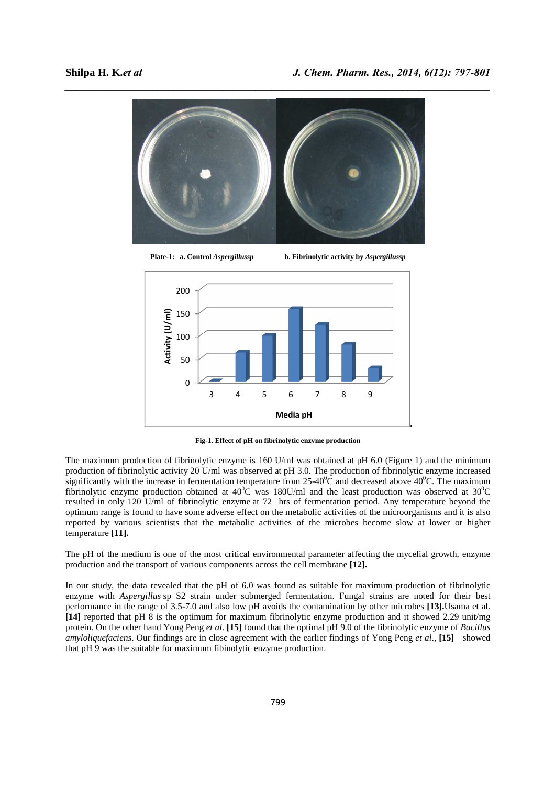



**Plate-1: a. Control** *Aspergillussp* **b. Fibrinolytic activity by** *Aspergillussp* 



**Fig-1. Effect of pH on fibrinolytic enzyme production** 

The maximum production of fibrinolytic enzyme is 160 U/ml was obtained at pH 6.0 (Figure 1) and the minimum production of fibrinolytic activity 20 U/ml was observed at pH 3.0. The production of fibrinolytic enzyme increased significantly with the increase in fermentation temperature from  $25{\text -}40^0$ C and decreased above  $40^0$ C. The maximum fibrinolytic enzyme production obtained at 40<sup>o</sup>C was 180U/ml and the least production was observed at 30<sup>o</sup>C resulted in only 120 U/ml of fibrinolytic enzyme at 72 hrs of fermentation period. Any temperature beyond the optimum range is found to have some adverse effect on the metabolic activities of the microorganisms and it is also reported by various scientists that the metabolic activities of the microbes become slow at lower or higher temperature **[11].**

The pH of the medium is one of the most critical environmental parameter affecting the mycelial growth, enzyme production and the transport of various components across the cell membrane **[12].** 

In our study, the data revealed that the pH of 6.0 was found as suitable for maximum production of fibrinolytic enzyme with *Aspergillus* sp S2 strain under submerged fermentation. Fungal strains are noted for their best performance in the range of 3.5-7.0 and also low pH avoids the contamination by other microbes **[13].**Usama et al. **[14]** reported that pH 8 is the optimum for maximum fibrinolytic enzyme production and it showed 2.29 unit/mg protein. On the other hand Yong Peng *et al*. **[15]** found that the optimal pH 9.0 of the fibrinolytic enzyme of *Bacillus amyloliquefaciens*. Our findings are in close agreement with the earlier findings of Yong Peng *et al*., **[15]** showed that pH 9 was the suitable for maximum fibinolytic enzyme production.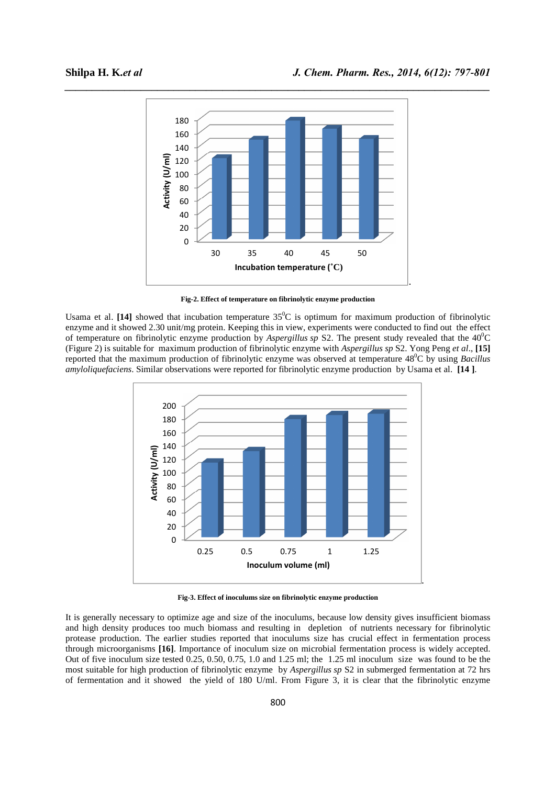

**Fig-2. Effect of temperature on fibrinolytic enzyme production** 

Usama et al. [14] showed that incubation temperature  $35^{\circ}\text{C}$  is optimum for maximum production of fibrinolytic enzyme and it showed 2.30 unit/mg protein. Keeping this in view, experiments were conducted to find out the effect of temperature on fibrinolytic enzyme production by *Aspergillus sp* S2. The present study revealed that the 40<sup>0</sup>C (Figure 2) is suitable for maximum production of fibrinolytic enzyme with *Aspergillus sp* S2. Yong Peng *et al*., **[15]**  reported that the maximum production of fibrinolytic enzyme was observed at temperature 48<sup>0</sup>C by using *Bacillus amyloliquefaciens*. Similar observations were reported for fibrinolytic enzyme production by Usama et al. **[14 ]**.



**Fig-3. Effect of inoculums size on fibrinolytic enzyme production** 

It is generally necessary to optimize age and size of the inoculums, because low density gives insufficient biomass and high density produces too much biomass and resulting in depletion of nutrients necessary for fibrinolytic protease production. The earlier studies reported that inoculums size has crucial effect in fermentation process through microorganisms **[16]**. Importance of inoculum size on microbial fermentation process is widely accepted. Out of five inoculum size tested 0.25, 0.50, 0.75, 1.0 and 1.25 ml; the 1.25 ml inoculum size was found to be the most suitable for high production of fibrinolytic enzyme by *Aspergillus sp* S2 in submerged fermentation at 72 hrs of fermentation and it showed the yield of 180 U/ml. From Figure 3, it is clear that the fibrinolytic enzyme